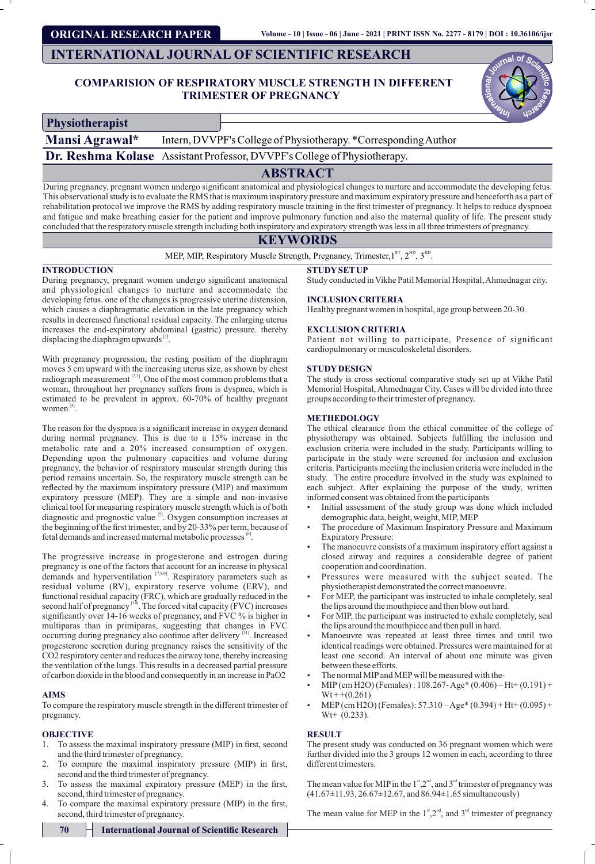# **ORIGINAL RESEARCH PAPER**

# **INTERNATIONAL JOURNAL OF SCIENTIFIC RESEARCH**

# **COMPARISION OF RESPIRATORY MUSCLE STRENGTH IN DIFFERENT TRIMESTER OF PREGNANCY**

| inal of S <sub>C</sub> |  |
|------------------------|--|
|                        |  |
|                        |  |
|                        |  |
|                        |  |
| u                      |  |

**Physiotherapist**

**Mansi Agrawal\*** Intern, DVVPF's College of Physiotherapy. \*Corresponding Author

**Dr. Reshma Kolase** Assistant Professor, DVVPF's College of Physiotherapy.

# **ABSTRACT**

During pregnancy, pregnant women undergo significant anatomical and physiological changes to nurture and accommodate the developing fetus. This observational study is to evaluate the RMS that is maximum inspiratory pressure and maximum expiratory pressure and henceforth as a part of rehabilitation protocol we improve the RMS by adding respiratory muscle training in the first trimester of pregnancy. It helps to reduce dyspnoea and fatigue and make breathing easier for the patient and improve pulmonary function and also the maternal quality of life. The present study concluded that the respiratory muscle strength including both inspiratory and expiratory strength was less in all three trimesters of pregnancy.

# **KEYWORDS**

MEP, MIP, Respiratory Muscle Strength, Pregnancy, Trimester,  $1^{ST}$ ,  $2^{ND}$ ,  $3^{RD}$ .

## **INTRODUCTION**

During pregnancy, pregnant women undergo significant anatomical and physiological changes to nurture and accommodate the developing fetus. one of the changes is progressive uterine distension, which causes a diaphragmatic elevation in the late pregnancy which results in decreased functional residual capacity. The enlarging uterus increases the end-expiratory abdominal (gastric) pressure. thereby displacing the diaphragm upwards  $\left[1\right]$ .

With pregnancy progression, the resting position of the diaphragm moves 5 cm upward with the increasing uterus size, as shown by chest radiograph measurement  $[2,3]$ . One of the most common problems that a woman, throughout her pregnancy suffers from is dyspnea, which is estimated to be prevalent in approx. 60-70% of healthy pregnant women<sup>"</sup>

The reason for the dyspnea is a significant increase in oxygen demand during normal pregnancy. This is due to a 15% increase in the metabolic rate and a 20% increased consumption of oxygen. Depending upon the pulmonary capacities and volume during pregnancy, the behavior of respiratory muscular strength during this period remains uncertain. So, the respiratory muscle strength can be reflected by the maximum inspiratory pressure (MIP) and maximum expiratory pressure (MEP). They are a simple and non-invasive clinical tool for measuring respiratory muscle strength which is of both diagnostic and prognostic value  $\binom{5}{3}$ . Oxygen consumption increases at the beginning of the first trimester, and by 20-33% per term, because of fetal demands and increased maternal metabolic processes  $\mathbb{S}$ .

The progressive increase in progesterone and estrogen during pregnancy is one of the factors that account for an increase in physical demands and hyperventilation  $[7,8,9]$ . Respiratory parameters such as residual volume (RV), expiratory reserve volume (ERV), and functional residual capacity (FRC), which are gradually reduced in the second half of pregnancy  $[10]$ . The forced vital capacity (FVC) increases significantly over 14-16 weeks of pregnancy, and FVC % is higher in multiparas than in primiparas, suggesting that changes in FVC occurring during pregnancy also continue after delivery <sup>[11]</sup>. Increased progesterone secretion during pregnancy raises the sensitivity of the CO2 respiratory center and reduces the airway tone, thereby increasing the ventilation of the lungs. This results in a decreased partial pressure of carbon dioxide in the blood and consequently in an increase in PaO2

## **AIMS**

To compare the respiratory muscle strength in the different trimester of pregnancy.

# **OBJECTIVE**

- 1. To assess the maximal inspiratory pressure (MIP) in first, second and the third trimester of pregnancy.
- 2. To compare the maximal inspiratory pressure (MIP) in first, second and the third trimester of pregnancy.
- 3. To assess the maximal expiratory pressure (MEP) in the first, second, third trimester of pregnancy.
- 4. To compare the maximal expiratory pressure (MIP) in the first, second, third trimester of pregnancy.

**STUDYSETUP**

Study conducted in Vikhe Patil Memorial Hospital, Ahmednagar city.

## **INCLUSION CRITERIA**

Healthy pregnant women in hospital, age group between 20-30.

#### **EXCLUSION CRITERIA**

Patient not willing to participate, Presence of significant cardiopulmonary or musculoskeletal disorders.

## **STUDYDESIGN**

The study is cross sectional comparative study set up at Vikhe Patil Memorial Hospital, Ahmednagar City. Cases will be divided into three groups according to their trimester of pregnancy.

# **METHEDOLOGY**

The ethical clearance from the ethical committee of the college of physiotherapy was obtained. Subjects fullling the inclusion and exclusion criteria were included in the study. Participants willing to participate in the study were screened for inclusion and exclusion criteria. Participants meeting the inclusion criteria were included in the study. The entire procedure involved in the study was explained to each subject. After explaining the purpose of the study, written informed consent was obtained from the participants

- Initial assessment of the study group was done which included demographic data, height, weight, MIP, MEP
- The procedure of Maximum Inspiratory Pressure and Maximum Expiratory Pressure:
- The manoeuvre consists of a maximum inspiratory effort against a closed airway and requires a considerable degree of patient cooperation and coordination.
- Pressures were measured with the subject seated. The physiotherapist demonstrated the correct manoeuvre.
- For MEP, the participant was instructed to inhale completely, seal the lips around the mouthpiece and then blow out hard.
- For MIP, the participant was instructed to exhale completely, seal the lips around the mouthpiece and then pull in hard.
- Manoeuvre was repeated at least three times and until two identical readings were obtained. Pressures were maintained for at least one second. An interval of about one minute was given between these efforts.
- The normal MIP and MEP will be measured with the-
- MIP(cm H2O) (Females): 108.267- Age\* (0.406) Ht+ (0.191) +  $Wt + (0.261)$
- $MEP$ (cm H2O) (Females): 57.310 Age\* (0.394) + Ht+ (0.095) +  $Wt+ (0.233)$ .

#### **RESULT**

The present study was conducted on 36 pregnant women which were further divided into the 3 groups 12 women in each, according to three different trimesters.

The mean value for MIP in the  $1<sup>st</sup>, 2<sup>nd</sup>$ , and  $3<sup>nd</sup>$  trimester of pregnancy was (41.67±11.93, 26.67±12.67, and 86.94±1.65 simultaneously)

The mean value for MEP in the  $1^{\text{st}}$ ,  $2^{\text{nd}}$ , and  $3^{\text{rd}}$  trimester of pregnancy